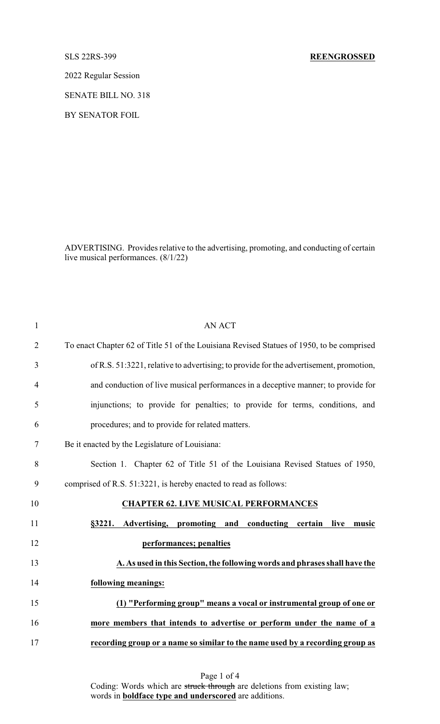2022 Regular Session

SENATE BILL NO. 318

BY SENATOR FOIL

ADVERTISING. Provides relative to the advertising, promoting, and conducting of certain live musical performances. (8/1/22)

| $\mathbf{1}$   | <b>AN ACT</b>                                                                             |
|----------------|-------------------------------------------------------------------------------------------|
| $\overline{2}$ | To enact Chapter 62 of Title 51 of the Louisiana Revised Statues of 1950, to be comprised |
| 3              | of R.S. 51:3221, relative to advertising; to provide for the advertisement, promotion,    |
| $\overline{4}$ | and conduction of live musical performances in a deceptive manner; to provide for         |
| 5              | injunctions; to provide for penalties; to provide for terms, conditions, and              |
| 6              | procedures; and to provide for related matters.                                           |
| 7              | Be it enacted by the Legislature of Louisiana:                                            |
| 8              | Section 1. Chapter 62 of Title 51 of the Louisiana Revised Statues of 1950,               |
| 9              | comprised of R.S. 51:3221, is hereby enacted to read as follows:                          |
| 10             | <b>CHAPTER 62. LIVE MUSICAL PERFORMANCES</b>                                              |
| 11             | conducting certain<br>§3221. Advertising, promoting and<br>live<br>music                  |
| 12             | performances; penalties                                                                   |
| 13             | A. As used in this Section, the following words and phrases shall have the                |
| 14             | following meanings:                                                                       |
| 15             | (1) "Performing group" means a vocal or instrumental group of one or                      |
| 16             | more members that intends to advertise or perform under the name of a                     |
| 17             | recording group or a name so similar to the name used by a recording group as             |
|                |                                                                                           |

Coding: Words which are struck through are deletions from existing law; words in **boldface type and underscored** are additions.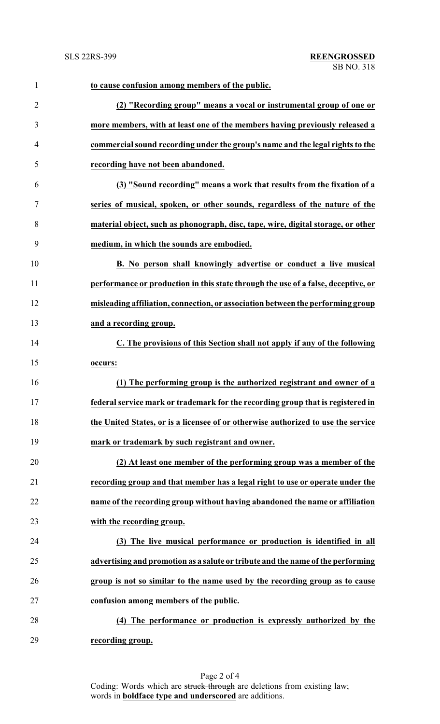| $\mathbf{1}$   | to cause confusion among members of the public.                                   |
|----------------|-----------------------------------------------------------------------------------|
| $\overline{2}$ | (2) "Recording group" means a vocal or instrumental group of one or               |
| 3              | more members, with at least one of the members having previously released a       |
| $\overline{4}$ | commercial sound recording under the group's name and the legal rights to the     |
| 5              | recording have not been abandoned.                                                |
| 6              | (3) "Sound recording" means a work that results from the fixation of a            |
| $\tau$         | series of musical, spoken, or other sounds, regardless of the nature of the       |
| 8              | material object, such as phonograph, disc, tape, wire, digital storage, or other  |
| 9              | medium, in which the sounds are embodied.                                         |
| 10             | B. No person shall knowingly advertise or conduct a live musical                  |
| 11             | performance or production in this state through the use of a false, deceptive, or |
| 12             | misleading affiliation, connection, or association between the performing group   |
| 13             | and a recording group.                                                            |
| 14             | C. The provisions of this Section shall not apply if any of the following         |
| 15             | occurs:                                                                           |
| 16             | (1) The performing group is the authorized registrant and owner of a              |
| 17             | federal service mark or trademark for the recording group that is registered in   |
| 18             | the United States, or is a licensee of or otherwise authorized to use the service |
| 19             | mark or trademark by such registrant and owner.                                   |
| 20             | (2) At least one member of the performing group was a member of the               |
| 21             | recording group and that member has a legal right to use or operate under the     |
| 22             | name of the recording group without having abandoned the name or affiliation      |
| 23             | with the recording group.                                                         |
| 24             | (3) The live musical performance or production is identified in all               |
| 25             | advertising and promotion as a salute or tribute and the name of the performing   |
| 26             | group is not so similar to the name used by the recording group as to cause       |
| 27             | confusion among members of the public.                                            |
| 28             | (4) The performance or production is expressly authorized by the                  |
| 29             | recording group.                                                                  |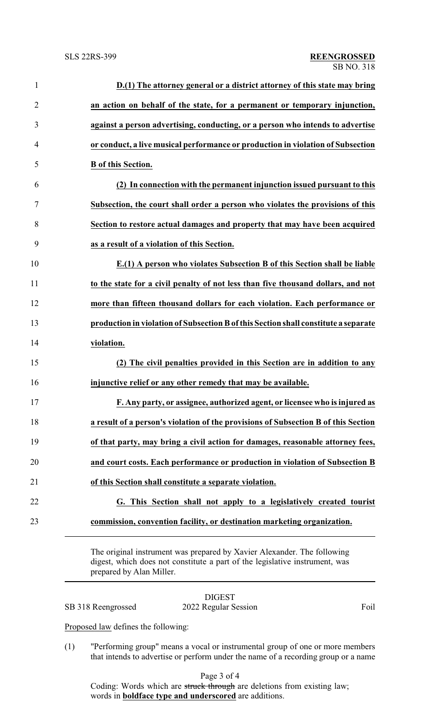| $\mathbf{1}$   | D.(1) The attorney general or a district attorney of this state may bring           |
|----------------|-------------------------------------------------------------------------------------|
| $\overline{2}$ | an action on behalf of the state, for a permanent or temporary injunction,          |
| 3              | against a person advertising, conducting, or a person who intends to advertise      |
| $\overline{4}$ | or conduct, a live musical performance or production in violation of Subsection     |
| 5              | <b>B</b> of this Section.                                                           |
| 6              | (2) In connection with the permanent injunction issued pursuant to this             |
| 7              | Subsection, the court shall order a person who violates the provisions of this      |
| 8              | Section to restore actual damages and property that may have been acquired          |
| 9              | as a result of a violation of this Section.                                         |
| 10             | E.(1) A person who violates Subsection B of this Section shall be liable            |
| 11             | to the state for a civil penalty of not less than five thousand dollars, and not    |
| 12             | more than fifteen thousand dollars for each violation. Each performance or          |
| 13             | production in violation of Subsection B of this Section shall constitute a separate |
| 14             | violation.                                                                          |
| 15             | (2) The civil penalties provided in this Section are in addition to any             |
| 16             | injunctive relief or any other remedy that may be available.                        |
| 17             | F. Any party, or assignee, authorized agent, or licensee who is injured as          |
| 18             | a result of a person's violation of the provisions of Subsection B of this Section  |
| 19             | of that party, may bring a civil action for damages, reasonable attorney fees,      |
| 20             | and court costs. Each performance or production in violation of Subsection B        |
| 21             | of this Section shall constitute a separate violation.                              |
| 22             | G. This Section shall not apply to a legislatively created tourist                  |
| 23             | commission, convention facility, or destination marketing organization.             |
|                |                                                                                     |

The original instrument was prepared by Xavier Alexander. The following digest, which does not constitute a part of the legislative instrument, was prepared by Alan Miller.

## DIGEST SB 318 Reengrossed 2022 Regular Session Foil

Proposed law defines the following:

(1) "Performing group" means a vocal or instrumental group of one or more members that intends to advertise or perform under the name of a recording group or a name

Page 3 of 4

Coding: Words which are struck through are deletions from existing law; words in **boldface type and underscored** are additions.